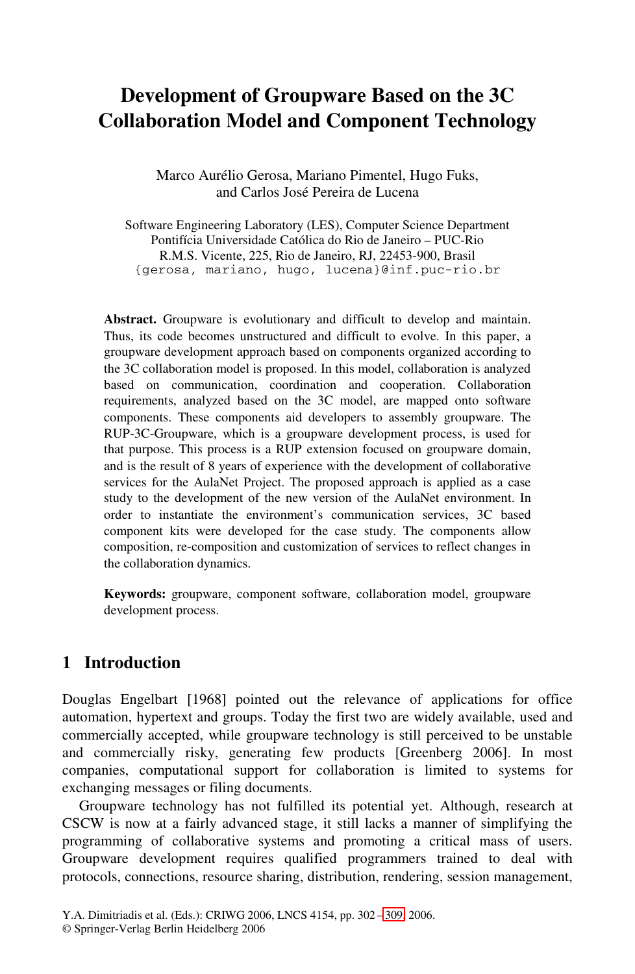# **Development of Groupware Based on the 3C Collaboration Model and Component Technology**

Marco Aurélio Gerosa, Mariano Pimentel, Hugo Fuks, and Carlos José Pereira de Lucena

Software Engineering Laboratory (LES), Computer Science Department Pontifícia Universidade Católica do Rio de Janeiro – PUC-Rio R.M.S. Vicente, 225, Rio de Janeiro, RJ, 22453-900, Brasil {gerosa, mariano, hugo, lucena}@inf.puc-rio.br

**Abstract.** Groupware is evolutionary and difficult to develop and maintain. Thus, its code becomes unstructured and difficult to evolve. In this paper, a groupware development approach based on components organized according to the 3C collaboration model is proposed. In this model, collaboration is analyzed based on communication, coordination and cooperation. Collaboration requirements, analyzed based on the 3C model, are mapped onto software components. These components aid developers to assembly groupware. The RUP-3C-Groupware, which is a groupware development process, is used for that purpose. This process is a RUP extension focused on groupware domain, and is the result of 8 years of experience with the development of collaborative services for the AulaNet Project. The proposed approach is applied as a case study to the development of the new version of the AulaNet environment. In order to instantiate the environment's communication services, 3C based component kits were developed for the case study. The components allow composition, re-composition and customization of services to reflect changes in the collaboration dynamics.

**Keywords:** groupware, component software, collaboration model, groupware development process.

### **1 Introduction**

Douglas Engelbart [1968] pointed out the relevance of applications for office automation, hypertext and groups. Today the first two are widely available, used and commercially accepted, while groupware technology is still perceived to be unstable and commercially risky, generating few products [Greenberg 2006]. In most companies, computational sup[port](#page-7-0) for collaboration is limited to systems for exchanging messages or filing documents.

Groupware technology has not fulfilled its potential yet. Although, research at CSCW is now at a fairly advanced stage, it still lacks a manner of simplifying the programming of collaborative systems and promoting a critical mass of users. Groupware development requires qualified programmers trained to deal with protocols, connections, resource sharing, distribution, rendering, session management,

Y.A. Dimitriadis et al. (Eds.): CRIWG 2006, LNCS 4154, pp. 302 – 309, 2006.

<sup>©</sup> Springer-Verlag Berlin Heidelberg 2006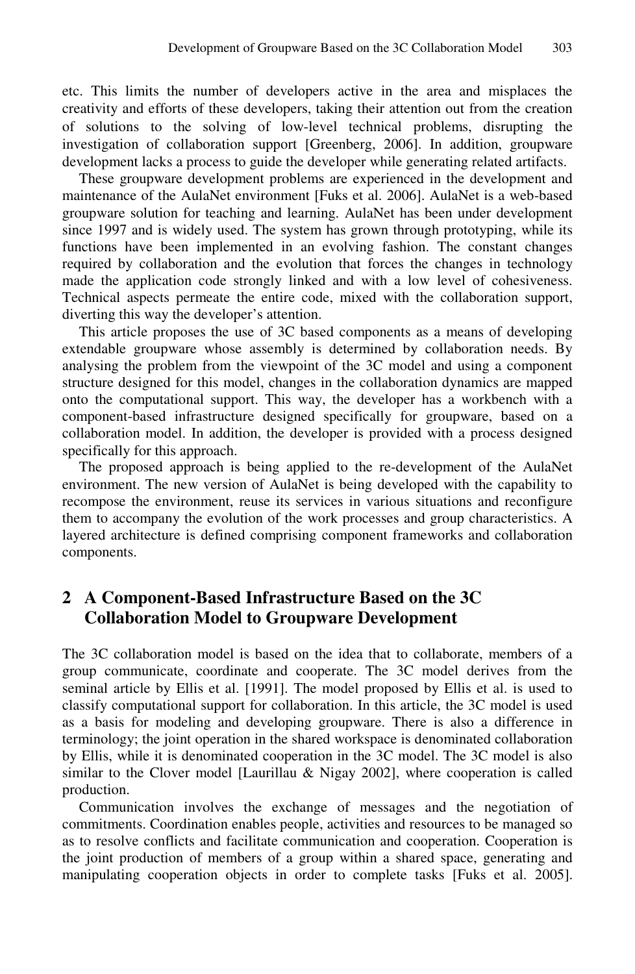etc. This limits the number of developers active in the area and misplaces the creativity and efforts of these developers, taking their attention out from the creation of solutions to the solving of low-level technical problems, disrupting the investigation of collaboration support [Greenberg, 2006]. In addition, groupware development lacks a process to guide the developer while generating related artifacts.

These groupware development problems are experienced in the development and maintenance of the AulaNet environment [Fuks et al. 2006]. AulaNet is a web-based groupware solution for teaching and learning. AulaNet has been under development since 1997 and is widely used. The system has grown through prototyping, while its functions have been implemented in an evolving fashion. The constant changes required by collaboration and the evolution that forces the changes in technology made the application code strongly linked and with a low level of cohesiveness. Technical aspects permeate the entire code, mixed with the collaboration support, diverting this way the developer's attention.

This article proposes the use of 3C based components as a means of developing extendable groupware whose assembly is determined by collaboration needs. By analysing the problem from the viewpoint of the 3C model and using a component structure designed for this model, changes in the collaboration dynamics are mapped onto the computational support. This way, the developer has a workbench with a component-based infrastructure designed specifically for groupware, based on a collaboration model. In addition, the developer is provided with a process designed specifically for this approach.

The proposed approach is being applied to the re-development of the AulaNet environment. The new version of AulaNet is being developed with the capability to recompose the environment, reuse its services in various situations and reconfigure them to accompany the evolution of the work processes and group characteristics. A layered architecture is defined comprising component frameworks and collaboration components.

# **2 A Component-Based Infrastructure Based on the 3C Collaboration Model to Groupware Development**

The 3C collaboration model is based on the idea that to collaborate, members of a group communicate, coordinate and cooperate. The 3C model derives from the seminal article by Ellis et al. [1991]. The model proposed by Ellis et al. is used to classify computational support for collaboration. In this article, the 3C model is used as a basis for modeling and developing groupware. There is also a difference in terminology; the joint operation in the shared workspace is denominated collaboration by Ellis, while it is denominated cooperation in the 3C model. The 3C model is also similar to the Clover model [Laurillau & Nigay 2002], where cooperation is called production.

Communication involves the exchange of messages and the negotiation of commitments. Coordination enables people, activities and resources to be managed so as to resolve conflicts and facilitate communication and cooperation. Cooperation is the joint production of members of a group within a shared space, generating and manipulating cooperation objects in order to complete tasks [Fuks et al. 2005].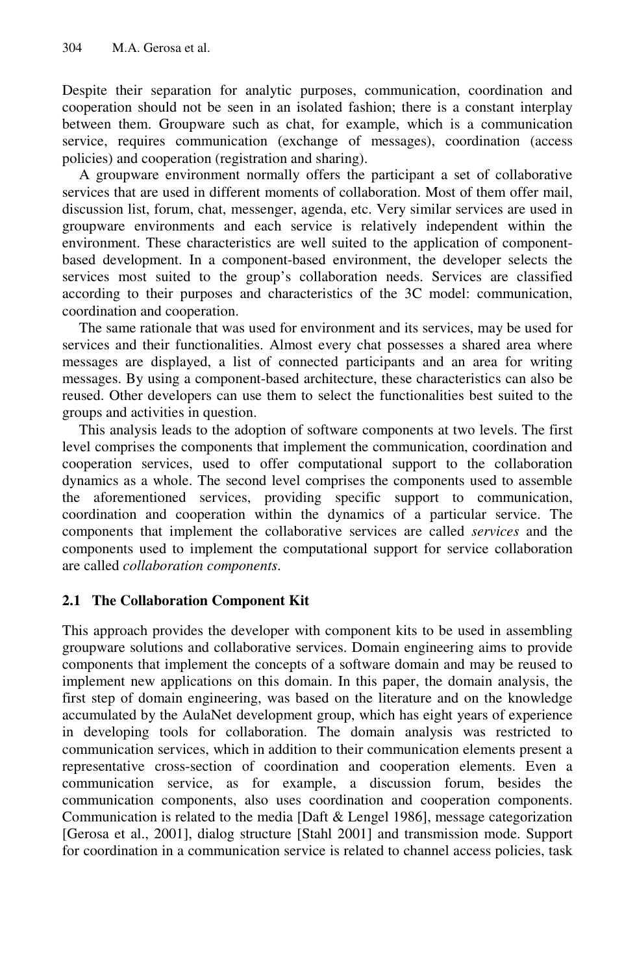Despite their separation for analytic purposes, communication, coordination and cooperation should not be seen in an isolated fashion; there is a constant interplay between them. Groupware such as chat, for example, which is a communication service, requires communication (exchange of messages), coordination (access policies) and cooperation (registration and sharing).

A groupware environment normally offers the participant a set of collaborative services that are used in different moments of collaboration. Most of them offer mail, discussion list, forum, chat, messenger, agenda, etc. Very similar services are used in groupware environments and each service is relatively independent within the environment. These characteristics are well suited to the application of componentbased development. In a component-based environment, the developer selects the services most suited to the group's collaboration needs. Services are classified according to their purposes and characteristics of the 3C model: communication, coordination and cooperation.

The same rationale that was used for environment and its services, may be used for services and their functionalities. Almost every chat possesses a shared area where messages are displayed, a list of connected participants and an area for writing messages. By using a component-based architecture, these characteristics can also be reused. Other developers can use them to select the functionalities best suited to the groups and activities in question.

This analysis leads to the adoption of software components at two levels. The first level comprises the components that implement the communication, coordination and cooperation services, used to offer computational support to the collaboration dynamics as a whole. The second level comprises the components used to assemble the aforementioned services, providing specific support to communication, coordination and cooperation within the dynamics of a particular service. The components that implement the collaborative services are called *services* and the components used to implement the computational support for service collaboration are called *collaboration components*.

#### **2.1 The Collaboration Component Kit**

This approach provides the developer with component kits to be used in assembling groupware solutions and collaborative services. Domain engineering aims to provide components that implement the concepts of a software domain and may be reused to implement new applications on this domain. In this paper, the domain analysis, the first step of domain engineering, was based on the literature and on the knowledge accumulated by the AulaNet development group, which has eight years of experience in developing tools for collaboration. The domain analysis was restricted to communication services, which in addition to their communication elements present a representative cross-section of coordination and cooperation elements. Even a communication service, as for example, a discussion forum, besides the communication components, also uses coordination and cooperation components. Communication is related to the media [Daft & Lengel 1986], message categorization [Gerosa et al., 2001], dialog structure [Stahl 2001] and transmission mode. Support for coordination in a communication service is related to channel access policies, task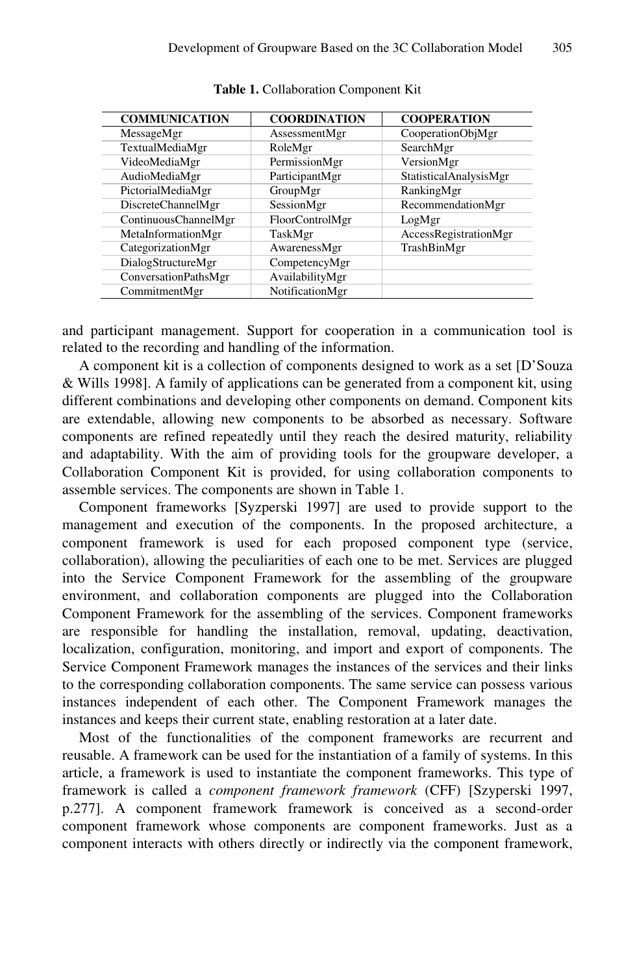| <b>COMMUNICATION</b> | <b>COORDINATION</b> | <b>COOPERATION</b>     |
|----------------------|---------------------|------------------------|
| MessageMgr           | AssessmentMgr       | CooperationObjMgr      |
| TextualMediaMgr      | RoleMgr             | SearchMgr              |
| VideoMediaMgr        | PermissionMgr       | VersionMgr             |
| AudioMediaMgr        | ParticipantMgr      | StatisticalAnalysisMgr |
| PictorialMediaMgr    | GroupMgr            | RankingMgr             |
| DiscreteChannelMgr   | SessionMgr          | RecommendationMgr      |
| ContinuousChannelMgr | FloorControlMgr     | LogMgr                 |
| MetaInformationMgr   | TaskMgr             | AccessRegistrationMgr  |
| CategorizationMgr    | AwarenessMgr        | TrashBinMgr            |
| DialogStructureMgr   | CompetencyMgr       |                        |
| ConversationPathsMgr | AvailabilityMgr     |                        |
| CommitmentMgr        | NotificationMgr     |                        |

**Table 1.** Collaboration Component Kit

and participant management. Support for cooperation in a communication tool is related to the recording and handling of the information.

A component kit is a collection of components designed to work as a set [D'Souza & Wills 1998]. A family of applications can be generated from a component kit, using different combinations and developing other components on demand. Component kits are extendable, allowing new components to be absorbed as necessary. Software components are refined repeatedly until they reach the desired maturity, reliability and adaptability. With the aim of providing tools for the groupware developer, a Collaboration Component Kit is provided, for using collaboration components to assemble services. The components are shown in Table 1.

Component frameworks [Syzperski 1997] are used to provide support to the management and execution of the components. In the proposed architecture, a component framework is used for each proposed component type (service, collaboration), allowing the peculiarities of each one to be met. Services are plugged into the Service Component Framework for the assembling of the groupware environment, and collaboration components are plugged into the Collaboration Component Framework for the assembling of the services. Component frameworks are responsible for handling the installation, removal, updating, deactivation, localization, configuration, monitoring, and import and export of components. The Service Component Framework manages the instances of the services and their links to the corresponding collaboration components. The same service can possess various instances independent of each other. The Component Framework manages the instances and keeps their current state, enabling restoration at a later date.

Most of the functionalities of the component frameworks are recurrent and reusable. A framework can be used for the instantiation of a family of systems. In this article, a framework is used to instantiate the component frameworks. This type of framework is called a *component framework framework* (CFF) [Szyperski 1997, p.277]. A component framework framework is conceived as a second-order component framework whose components are component frameworks. Just as a component interacts with others directly or indirectly via the component framework,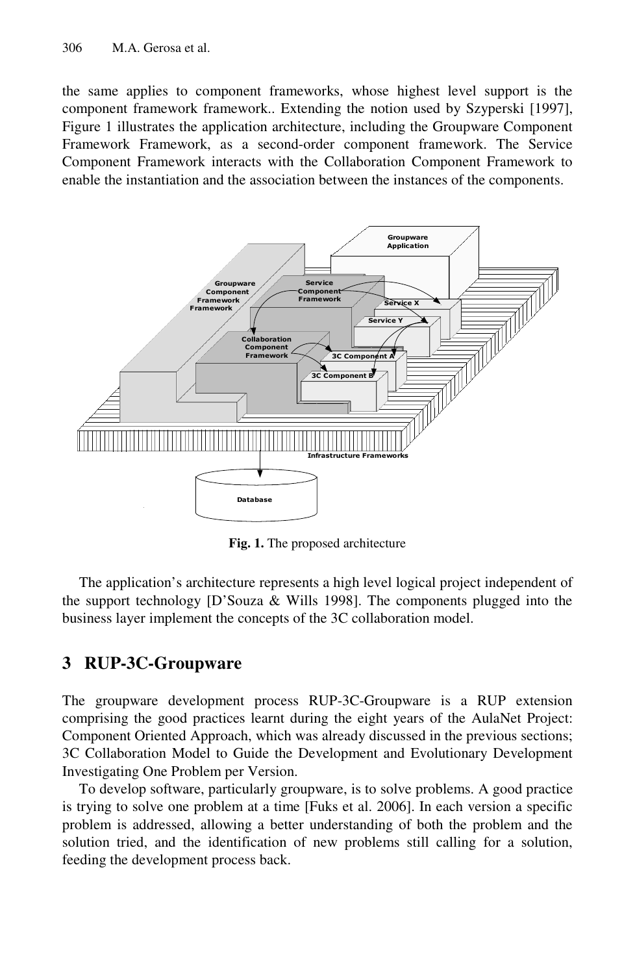the same applies to component frameworks, whose highest level support is the component framework framework.. Extending the notion used by Szyperski [1997], Figure 1 illustrates the application architecture, including the Groupware Component Framework Framework, as a second-order component framework. The Service Component Framework interacts with the Collaboration Component Framework to enable the instantiation and the association between the instances of the components.



**Fig. 1.** The proposed architecture

The application's architecture represents a high level logical project independent of the support technology [D'Souza & Wills 1998]. The components plugged into the business layer implement the concepts of the 3C collaboration model.

# **3 RUP-3C-Groupware**

The groupware development process RUP-3C-Groupware is a RUP extension comprising the good practices learnt during the eight years of the AulaNet Project: Component Oriented Approach, which was already discussed in the previous sections; 3C Collaboration Model to Guide the Development and Evolutionary Development Investigating One Problem per Version.

To develop software, particularly groupware, is to solve problems. A good practice is trying to solve one problem at a time [Fuks et al. 2006]. In each version a specific problem is addressed, allowing a better understanding of both the problem and the solution tried, and the identification of new problems still calling for a solution, feeding the development process back.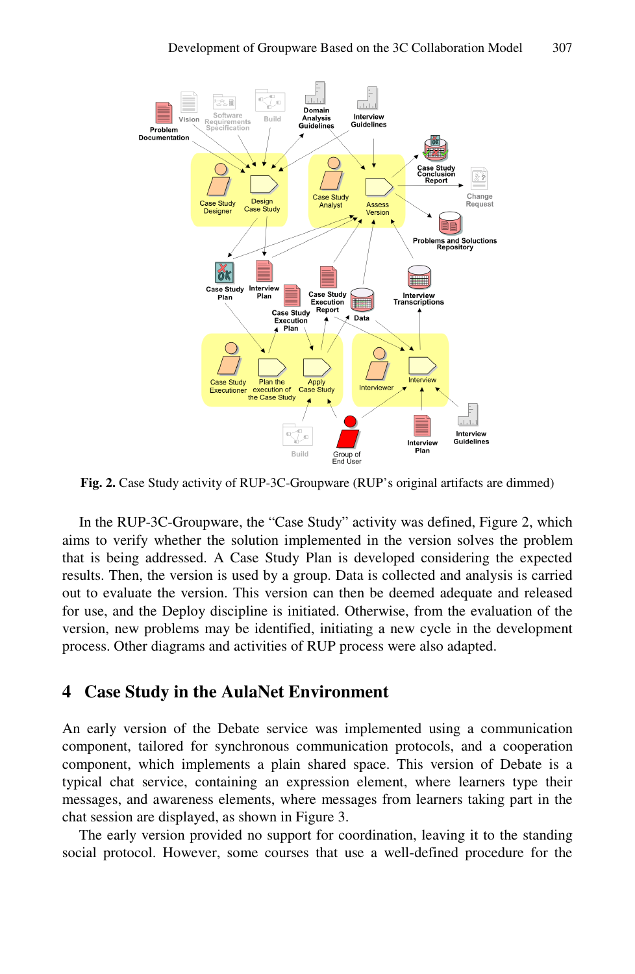

**Fig. 2.** Case Study activity of RUP-3C-Groupware (RUP's original artifacts are dimmed)

In the RUP-3C-Groupware, the "Case Study" activity was defined, Figure 2, which aims to verify whether the solution implemented in the version solves the problem that is being addressed. A Case Study Plan is developed considering the expected results. Then, the version is used by a group. Data is collected and analysis is carried out to evaluate the version. This version can then be deemed adequate and released for use, and the Deploy discipline is initiated. Otherwise, from the evaluation of the version, new problems may be identified, initiating a new cycle in the development process. Other diagrams and activities of RUP process were also adapted.

#### **4 Case Study in the AulaNet Environment**

An early version of the Debate service was implemented using a communication component, tailored for synchronous communication protocols, and a cooperation component, which implements a plain shared space. This version of Debate is a typical chat service, containing an expression element, where learners type their messages, and awareness elements, where messages from learners taking part in the chat session are displayed, as shown in Figure 3.

The early version provided no support for coordination, leaving it to the standing social protocol. However, some courses that use a well-defined procedure for the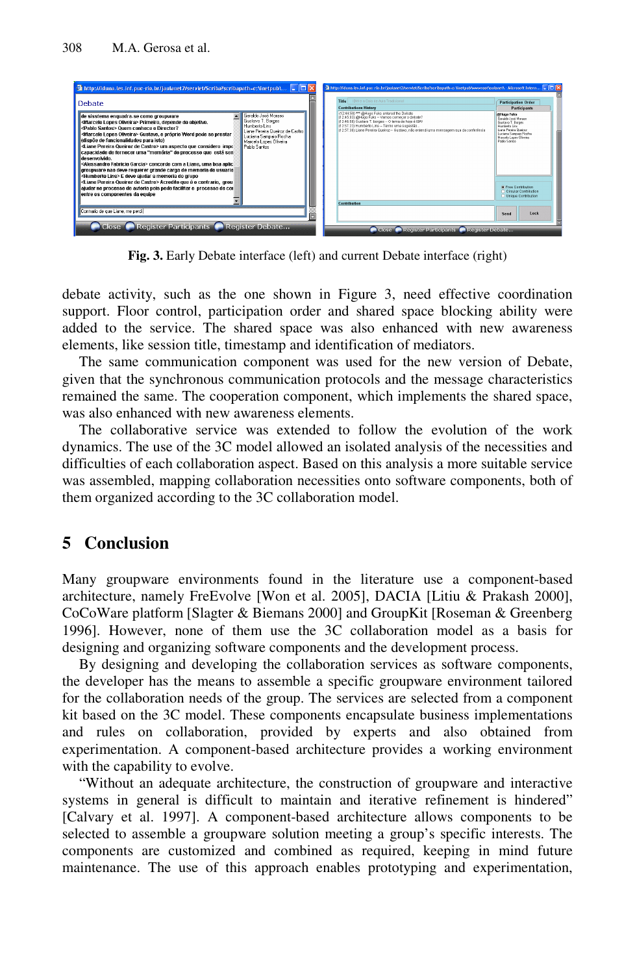

**Fig. 3.** Early Debate interface (left) and current Debate interface (right)

debate activity, such as the one shown in Figure 3, need effective coordination support. Floor control, participation order and shared space blocking ability were added to the service. The shared space was also enhanced with new awareness elements, like session title, timestamp and identification of mediators.

The same communication component was used for the new version of Debate, given that the synchronous communication protocols and the message characteristics remained the same. The cooperation component, which implements the shared space, was also enhanced with new awareness elements.

The collaborative service was extended to follow the evolution of the work dynamics. The use of the 3C model allowed an isolated analysis of the necessities and difficulties of each collaboration aspect. Based on this analysis a more suitable service was assembled, mapping collaboration necessities onto software components, both of them organized according to the 3C collaboration model.

# **5 Conclusion**

Many groupware environments found in the literature use a component-based architecture, namely FreEvolve [Won et al. 2005], DACIA [Litiu & Prakash 2000], CoCoWare platform [Slagter & Biemans 2000] and GroupKit [Roseman & Greenberg 1996]. However, none of them use the 3C collaboration model as a basis for designing and organizing software components and the development process.

By designing and developing the collaboration services as software components, the developer has the means to assemble a specific groupware environment tailored for the collaboration needs of the group. The services are selected from a component kit based on the 3C model. These components encapsulate business implementations and rules on collaboration, provided by experts and also obtained from experimentation. A component-based architecture provides a working environment with the capability to evolve.

"Without an adequate architecture, the construction of groupware and interactive systems in general is difficult to maintain and iterative refinement is hindered" [Calvary et al. 1997]. A component-based architecture allows components to be selected to assemble a groupware solution meeting a group's specific interests. The components are customized and combined as required, keeping in mind future maintenance. The use of this approach enables prototyping and experimentation,